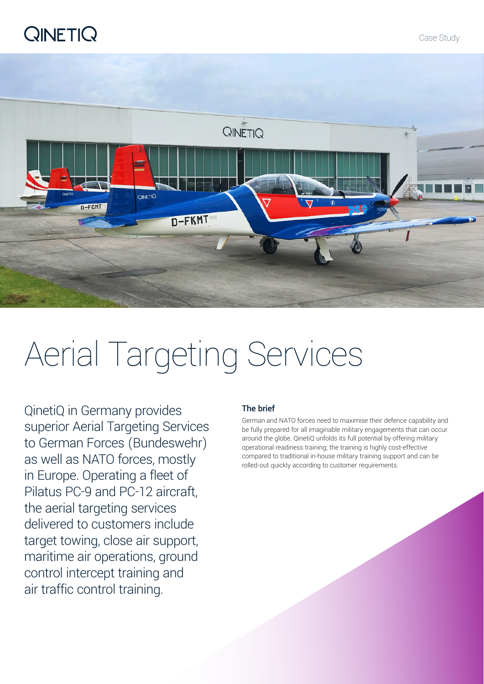## **QINETIQ**



# Aerial Targeting Services

QinetiQ in Germany provides superior Aerial Targeting Services to German Forces (Bundeswehr) as well as NATO forces, mostly in Europe. Operating a fleet of Pilatus PC-9 and PC-12 aircraft, the aerial targeting services delivered to customers include target towing, close air support, maritime air operations, ground control intercept training and air traffic control training.

#### The brief

German and NATO forces need to maximise their defence capability and be fully prepared for all imaginable military engagements that can occur around the globe. QinetiQ unfolds its full potential by offering military operational readiness training; the training is highly cost-effective compared to traditional in-house military training support and can be rolled-out quickly according to customer requirements.